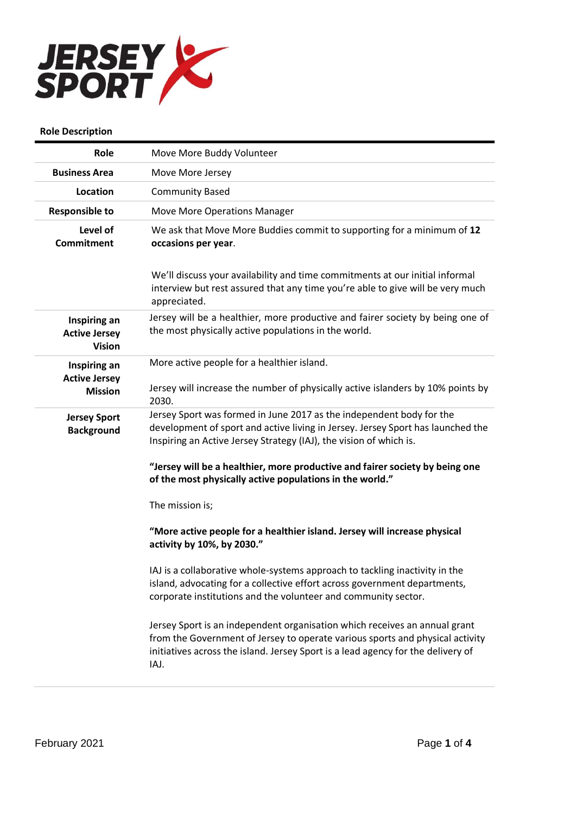

## **Role Description**

| Role                                                  | Move More Buddy Volunteer                                                                                                                                                                                                                               |
|-------------------------------------------------------|---------------------------------------------------------------------------------------------------------------------------------------------------------------------------------------------------------------------------------------------------------|
| <b>Business Area</b>                                  | Move More Jersey                                                                                                                                                                                                                                        |
| Location                                              | <b>Community Based</b>                                                                                                                                                                                                                                  |
| <b>Responsible to</b>                                 | <b>Move More Operations Manager</b>                                                                                                                                                                                                                     |
| Level of<br><b>Commitment</b>                         | We ask that Move More Buddies commit to supporting for a minimum of 12<br>occasions per year.                                                                                                                                                           |
|                                                       | We'll discuss your availability and time commitments at our initial informal<br>interview but rest assured that any time you're able to give will be very much<br>appreciated.                                                                          |
| Inspiring an<br><b>Active Jersey</b><br><b>Vision</b> | Jersey will be a healthier, more productive and fairer society by being one of<br>the most physically active populations in the world.                                                                                                                  |
| Inspiring an                                          | More active people for a healthier island.                                                                                                                                                                                                              |
| <b>Active Jersey</b><br><b>Mission</b>                | Jersey will increase the number of physically active islanders by 10% points by<br>2030.                                                                                                                                                                |
| <b>Jersey Sport</b><br><b>Background</b>              | Jersey Sport was formed in June 2017 as the independent body for the<br>development of sport and active living in Jersey. Jersey Sport has launched the<br>Inspiring an Active Jersey Strategy (IAJ), the vision of which is.                           |
|                                                       | "Jersey will be a healthier, more productive and fairer society by being one<br>of the most physically active populations in the world."                                                                                                                |
|                                                       | The mission is;                                                                                                                                                                                                                                         |
|                                                       | "More active people for a healthier island. Jersey will increase physical<br>activity by 10%, by 2030."                                                                                                                                                 |
|                                                       | IAJ is a collaborative whole-systems approach to tackling inactivity in the<br>island, advocating for a collective effort across government departments,<br>corporate institutions and the volunteer and community sector.                              |
|                                                       | Jersey Sport is an independent organisation which receives an annual grant<br>from the Government of Jersey to operate various sports and physical activity<br>initiatives across the island. Jersey Sport is a lead agency for the delivery of<br>IAJ. |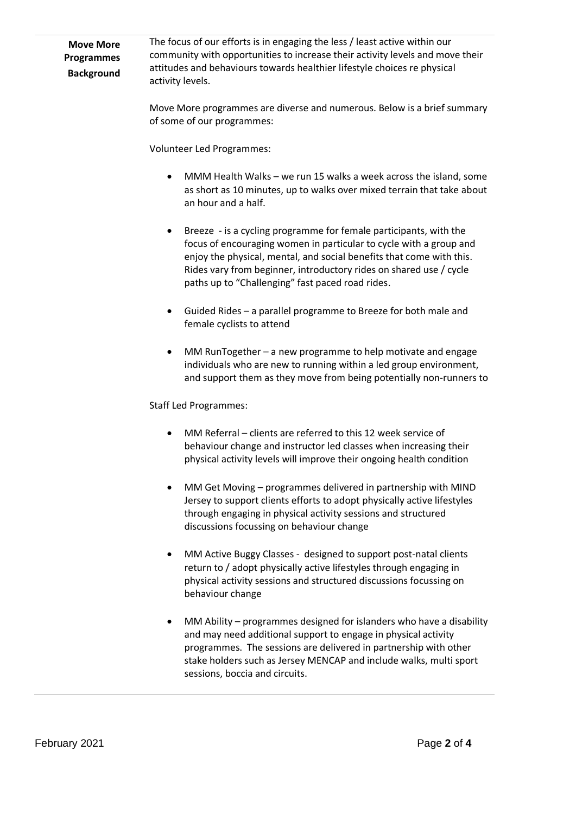| <b>Move More</b>  | The focus of our efforts is in engaging the less / least active within our    |
|-------------------|-------------------------------------------------------------------------------|
| <b>Programmes</b> | community with opportunities to increase their activity levels and move their |
| <b>Background</b> | attitudes and behaviours towards healthier lifestyle choices re physical      |
|                   | activity levels.                                                              |

Move More programmes are diverse and numerous. Below is a brief summary of some of our programmes:

Volunteer Led Programmes:

- MMM Health Walks we run 15 walks a week across the island, some as short as 10 minutes, up to walks over mixed terrain that take about an hour and a half.
- Breeze is a cycling programme for female participants, with the focus of encouraging women in particular to cycle with a group and enjoy the physical, mental, and social benefits that come with this. Rides vary from beginner, introductory rides on shared use / cycle paths up to "Challenging" fast paced road rides.
- Guided Rides a parallel programme to Breeze for both male and female cyclists to attend
- MM RunTogether a new programme to help motivate and engage individuals who are new to running within a led group environment, and support them as they move from being potentially non-runners to

## Staff Led Programmes:

- MM Referral clients are referred to this 12 week service of behaviour change and instructor led classes when increasing their physical activity levels will improve their ongoing health condition
- MM Get Moving programmes delivered in partnership with MIND Jersey to support clients efforts to adopt physically active lifestyles through engaging in physical activity sessions and structured discussions focussing on behaviour change
- MM Active Buggy Classes designed to support post-natal clients return to / adopt physically active lifestyles through engaging in physical activity sessions and structured discussions focussing on behaviour change
- MM Ability programmes designed for islanders who have a disability and may need additional support to engage in physical activity programmes. The sessions are delivered in partnership with other stake holders such as Jersey MENCAP and include walks, multi sport sessions, boccia and circuits.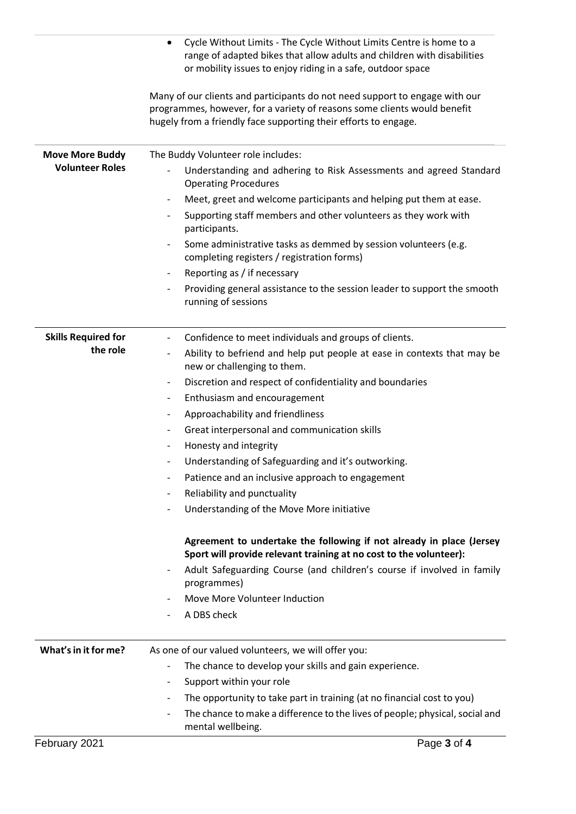|                            | Cycle Without Limits - The Cycle Without Limits Centre is home to a<br>range of adapted bikes that allow adults and children with disabilities<br>or mobility issues to enjoy riding in a safe, outdoor space              |
|----------------------------|----------------------------------------------------------------------------------------------------------------------------------------------------------------------------------------------------------------------------|
|                            | Many of our clients and participants do not need support to engage with our<br>programmes, however, for a variety of reasons some clients would benefit<br>hugely from a friendly face supporting their efforts to engage. |
| <b>Move More Buddy</b>     | The Buddy Volunteer role includes:                                                                                                                                                                                         |
| <b>Volunteer Roles</b>     | Understanding and adhering to Risk Assessments and agreed Standard<br><b>Operating Procedures</b>                                                                                                                          |
|                            | Meet, greet and welcome participants and helping put them at ease.<br>$\overline{\phantom{a}}$                                                                                                                             |
|                            | Supporting staff members and other volunteers as they work with<br>participants.                                                                                                                                           |
|                            | Some administrative tasks as demmed by session volunteers (e.g.<br>completing registers / registration forms)                                                                                                              |
|                            | Reporting as / if necessary<br>-                                                                                                                                                                                           |
|                            | Providing general assistance to the session leader to support the smooth<br>$\overline{\phantom{a}}$<br>running of sessions                                                                                                |
| <b>Skills Required for</b> | Confidence to meet individuals and groups of clients.<br>$\qquad \qquad \blacksquare$                                                                                                                                      |
| the role                   | Ability to befriend and help put people at ease in contexts that may be<br>$\overline{\phantom{a}}$<br>new or challenging to them.                                                                                         |
|                            | Discretion and respect of confidentiality and boundaries<br>$\overline{\phantom{a}}$                                                                                                                                       |
|                            | Enthusiasm and encouragement<br>$\blacksquare$                                                                                                                                                                             |
|                            | Approachability and friendliness<br>$\overline{\phantom{a}}$                                                                                                                                                               |
|                            | Great interpersonal and communication skills<br>$\overline{\phantom{a}}$                                                                                                                                                   |
|                            | Honesty and integrity<br>-                                                                                                                                                                                                 |
|                            | Understanding of Safeguarding and it's outworking.<br>-                                                                                                                                                                    |
|                            | Patience and an inclusive approach to engagement                                                                                                                                                                           |
|                            | Reliability and punctuality<br>-                                                                                                                                                                                           |
|                            | Understanding of the Move More initiative                                                                                                                                                                                  |
|                            | Agreement to undertake the following if not already in place (Jersey<br>Sport will provide relevant training at no cost to the volunteer):                                                                                 |
|                            | Adult Safeguarding Course (and children's course if involved in family<br>programmes)                                                                                                                                      |
|                            | Move More Volunteer Induction                                                                                                                                                                                              |
|                            | A DBS check                                                                                                                                                                                                                |
| What's in it for me?       | As one of our valued volunteers, we will offer you:                                                                                                                                                                        |
|                            | The chance to develop your skills and gain experience.                                                                                                                                                                     |
|                            | Support within your role<br>$\overline{\phantom{0}}$                                                                                                                                                                       |
|                            | The opportunity to take part in training (at no financial cost to you)<br>$\overline{\phantom{a}}$                                                                                                                         |
|                            | The chance to make a difference to the lives of people; physical, social and<br>mental wellbeing.                                                                                                                          |